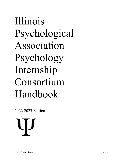# Illinois Psychological Association Psychology Internship Consortium Handbook

2022-2023 Edition

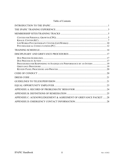| PROCEDURES FOR RESPONDING TO INADEQUATE PERFORMANCE BY AN INTERN  19 |
|----------------------------------------------------------------------|
|                                                                      |
|                                                                      |
|                                                                      |
|                                                                      |
|                                                                      |
|                                                                      |
| APPENDIX C: ACKNOWLEDGEMENT & AGREEMENT OF GRIEVANCE PACKET 28       |
|                                                                      |
|                                                                      |

#### Table of Contents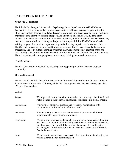#### **INTRODUCTION TO THE IPAPIC**

#### **About the Consortium**

The Illinois Psychological Association Psychology Internship Consortium (IPAPIC) was founded in order to join together training organizations in Illinois to create opportunities for Illinois psychology Interns. IPAPIC endeavors to grow each and every year by joining with new organizations to offer new training prospects. An important mission of IPAPIC is to offer services to underserved communities. By linking agencies, IPAPIC is able to offer such services, since the consortium shares training and supervision responsibilities. IPAPIC is a multi-site training program that provides organized, sequential learning experiences for doctoral Interns. The Consortium ensures an integrated training experience through shared standards, common procedures, and joint didactic learning programs. The Consortium brings together urban and rural training sites to provide broad exposure to differing models of training and service delivery. There is a particularly strong emphasis on advanced training in cultural competence.

#### **IPAPIC Vision**

The IPA Consortium model will be a leading training paradigm within the psychological community.

#### **Mission Statement**

The mission of the IPA Consortium is to offer quality psychology training in diverse settings to doctoral Interns in the state of Illinois, while also creating networks between Interns, agencies, IPA, and IPA members.

#### **Values**

| We respect all customers without regard to race, sex, age, disability, health<br>status, gender identity, sexual orientation, socioeconomic status, or faith.                                                                                                                                                                          |
|----------------------------------------------------------------------------------------------------------------------------------------------------------------------------------------------------------------------------------------------------------------------------------------------------------------------------------------|
| We strive for sensitive, humane, and respectful relationships with<br>everyone we care for and with whom we work.                                                                                                                                                                                                                      |
| We continually strive to assess and reassess all processes within our<br>organization to improve our performance.                                                                                                                                                                                                                      |
| We believe in effective leadership by promoting an organizational culture<br>that focuses on continually improving performance for all client needs in a<br>collaborative effort to fulfill the mission statements of Khalil Center,<br>Psychological Consultations, Center for Personal Growth and LifeWorks<br>Psychotherapy Center. |
| We believe in a team-integrated service that promotes trust and safety, as<br>well as clear and open communication.                                                                                                                                                                                                                    |
|                                                                                                                                                                                                                                                                                                                                        |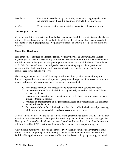| Excellence | We strive for excellence by committing resources to ongoing education<br>and training that will result in qualified, competent care providers. |
|------------|------------------------------------------------------------------------------------------------------------------------------------------------|
| Service    | We believe our customers are entitled to quality health care services.                                                                         |

#### **Our Pledge to Clients**

We believe with the right skills, and methods to implement the skills, our clients can take charge of the problems disrupting their lives. To that end, the quality of care and services we render to our clients are the highest priorities. We pledge our efforts to achieve these goals and fulfill our mission.

#### **About This Handbook**

This handbook is intended to address questions you may have as an Intern with the Illinois Psychological Association Psychology Internship Consortium (IPAPIC). Information contained in this handbook is designed to assist you in your time as part of our clinical team. The policies set forth in this manual have been designed to assist in creating a spirit of cooperation and harmony within the Consortium. The Consortium has teamed together to provide the best possible care to the patients we serve.

The training experience at IPAPIC is an organized, educational, and experiential program designed to provide each Intern with a planned, programmed sequence of various experiences in mental health care. We seek to provide a learning environment that:

- 1. Encourages teamwork and respect among behavioral health service providers;
- 2. Develops each Intern's clinical skills through closely supervised delivery of clinical services to clients;
- 3. Encourages investigation and understanding of each client's cultural issues that can influence treatment results;
- 4. Provides an understanding of the professional, legal, and ethical issues that challenge behavioral healthcare; and
- 5. Develops each Intern's clinical style to reflect their individual talents and personality, while promoting responsibility and compassion for their clients.

Doctoral Interns will receive the title of "Intern" during their time as part of IPAPIC. Interns may not misrepresent themselves or their qualifications in any way to clients, staff, or other agencies. Throughout the rest of this handbook, the term "Intern" will be used to refer to those Interns who will be selected by IPAPIC to train at their sites for a Doctoral Internship training year.

All applicants must have completed adequate coursework and be authorized by their academic training programs to participate in Internship as demonstrated by a letter from the institution. Additionally, applicants must have successfully completed courses in group therapy, abnormal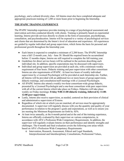psychology, and a cultural diversity class. All Interns must also have completed adequate and appropriate practicum training of 1,200 or more hours prior to beginning the Internship.

#### **THE IPAPIC TRAINING EXPERIENCE**

The IPAPIC Internship experience provides training in a range of psychological assessment and intervention activities conducted directly with clients. Training is primarily based on experiential learning. Interns provide services directly to clients in the form of assessment, psychotherapy, consultation, and psychoeducation. Interns will be exposed to a variety of psychological services and clients that are determined by the Intern's level of education and experience. All experiences are guided by regular individual and group supervision, which forms the basis for personal and professional growth throughout the Internship year.

- Each Intern is expected to complete a minimum of 2,200 hours. The IPAPIC Internship runs a full 12-month year, July - June 30. Should the required hours be accumulated before 12 months elapse, Interns are still required to complete the full training year.
- Guidelines for direct service hours will be outlined in the sections describing each individual site. In addition, specific expectations may be discussed with supervisors.
- Individual and group supervision are provided at each site, with a minimum weekly requirement of four hours. Didactic training and peer supervision with other consortium Interns are also requirements of IPAPIC. At least two hours of weekly individual supervision by a Licensed Psychologist will be provided at each Internship site. Further, all Interns will be provided with an additional two or more hours of group supervision, didactic trainings, and consultation/staff meetings with a Licensed Psychologist.
- All IPAPIC Interns also attend a weekly two-hour consortium-wide group didactic, presented by a Licensed Psychologist and a one-hour consortium wide peer supervision with all of the current Interns which take place on Fridays. Didactics will take place weekly on Friday mornings: **Friday 9:00-11:00 didactic training, followed by 11:00- 12:00 peer supervision**.
- Lastly, Interns also receive supervision, as needed, centered on their provision of clinical and administrative supervision of Externs.
- Regardless of which site at which you are matched, all services must be appropriately documented. A supervisor will regularly discuss with you the quantity and quality of your performance in relation to the program's goals and expectations, as well as to ensure you are meeting the Minimum Requirements set forth by APA.
- At least twice annually, at the 6-month period and at the end of the training experience, Interns are officially evaluated by their supervisor on various competencies, in accordance with APA's Profession-Wide Competency Requirements. In addition, the supervisor will regularly evaluate Interns on their performance and identify strengths and challenges. The 6-month and final evaluation covers the following core areas which based on APA's Profession-Wide Competency Requirements:
	- o Intervention, Research, Assessment, Ethical and Legal Standards, Interprofessional and Interdisciplinary Consultations, Professional Values,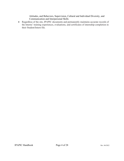Attitudes, and Behaviors, Supervision, Cultural and Individual Diversity, and Communication and Interpersonal Skills

• Regardless of the site, IPAPIC documents and permanently maintains accurate records of the Interns' training experiences, evaluations, and certificates of internship completion in their Student/Intern file.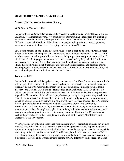#### **MEMBERSHIP SITES/TRAINING TRACKS**

## *Center for Personal Growth (CPG)*

#### *APPIC Match Number: 215813*

Center for Personal Growth (CPG) is a multi-specialty private practice in Carol Stream, Illinois. Dr. Erin Liebich maintains overall responsibility for Intern training experiences. Dr. Liebich is an active Licensed Clinical Psychologist in Illinois. She is the Owner and Clinical Director of CPG and oversees all functions of the clinical practice, including referrals, case assignments, assessment, treatment, clinical record keeping, and evaluation of Interns.

CPG's staff consists of one Illinois Licensed Psychologist, a soon-to-be licensed Post-Doctoral Fellow, three Licensed therapists, and several assessment, therapy, and advanced externs. Staff members carry clinical responsibility for the cases being supervised and provide supervision. Dr. Liebich and Dr. Santoyo provide at least two hours per week of regularly scheduled individual supervision. Dr. Gregory Sarlo plays a supportive role in clinical supervision as the second Illinois Licensed Psychologist. Supervision focuses on both professional and personal growth, encouraging the Intern to critically evaluate aspects of culture, diversity, professional skills, and personal predispositions within the work with each client.

#### **Training at CPG**

Center for Personal Growth is a private group practice located in Carol Stream, a western suburb of Chicago, Illinois. Interns at CPG provide psychological services to diverse populations, most especially clients with motor and neurodevelopmental disabilities, childhood trauma, eating disorders, and Lesbian, Gay, Bisexual, Transgender, and Questioning (LGBTQ) clients. Dr. Liebich specializes in disability-affirmative services and child therapy. Dr. Santoyo specializes in gender-affirmative services and Latinx populations, providing therapy and testing services in Spanish. Other areas of practice at CPG include individual, family, couples, and group therapy, as well as child-centered play therapy and sand tray therapy. Services conducted at CPG include therapy, psychological and neuropsychological assessment, groups, and community presentations. CPG is a theoretically diverse site with Humanistic theory as the foundation of all treatment approaches. An emphasis is placed on utilizing individual and cultural factors as well as empirically-based practices to inform treatment. Interns will be trained in Client-Centered treatment approaches as well as Acceptance and Commitment Therapy, Mindfulness, and Dialectical Behavior Therapy.

At CPG, Interns not only gain experience with a diverse array of presenting concerns but are also involved in learning the nature of running a group private practice. Clients' typical diagnostic presentations vary from acute to chronic difficulties. Some clients may not have insurance, while others may utilize private insurance or Medicaid health plans. In addition, the Intern at CPG is given the opportunity to provide direct weekly clinical and administrative peer supervision for 2- 4 diagnostic, therapy, and advanced externs training at CPG. Interns typically engage in at least

IPAPIC Handbook Page 5 of 28 Rev. 06/2022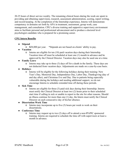20-25 hours of direct service weekly. The remaining clinical hours during the week are spent in providing and obtaining supervision, research, assessment administration, scoring, report writing, and record keeping. At the completion of the Internship experience, Interns will demonstrate competency in domains set forth by APA in treatment, assessment, group work, case management, and consultation. CPG's diverse training and supportive supervisory environment aims to facilitate personal and professional advancement and to produce a doctoral level psychologist candidate who is prepared for a promising career.

#### **CPG Intern Benefits**

● **Stipend**

o **\$**28,000 per year. \*Stipends are not based on clients' ability to pay.

- **Vacation**
	- o Interns are eligible for ten (10) paid vacation days during their Internship. Vacation time off must be scheduled at least one (1) month in advance and be approved by the Clinical Director. Vacation days may also be used one at a time.
- **Family Leave**
	- o Interns may take up to three (3) days off for a death in the family. These days are not deducted from vacation days. Adjustments are made on a case-by-case basis.
- **Holidays**
	- o Interns will be eligible for the following holidays during their training: New Year's Day, Memorial Day, Independence Day, Labor Day, Thanksgiving (day of and day after), and Christmas Eve and Day. Due to patients being especially vulnerable during the holidays and needing additional support, we do not encourage Interns to schedule extended time off during these periods.
- **Sick Time**
	- o Interns are eligible for three (3) paid sick days during their Internship. Interns must notify the Clinical Director at least two (2) hours prior to their scheduled start time if calling in sick or unable to report to the site for other reasons. Should an illness continue for more than one (1) day, the Intern must notify the Clinical Director on each consecutive day of his/her absence.

### ● **Dissertation Work Time**

- o Interns may incorporate up to five (5) hours per week to work on their dissertations.
- **Conference Time**
	- o Interns may request up to two (2) days off to attend a non-IPAPIC sponsored training. Interns are required to schedule the time off with supervisors at least a month in advance.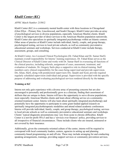# *Khalil Center (KC)*

#### *APPIC Match Number*: 215812

Khalil Center (KC) is a community mental health center with three locations in Chicagoland (Glen Ellyn – Primary Site, Lincolnwood, and South Chicago). Khalil Center provides an array of psychological services to diverse populations, especially American Muslim clients. Khalil Center is the largest provider of direct services to the American Muslim population nationwide. Khalil Center also specializes in spiritually integrated psychotherapy within an Islamic context. Other areas of practice at Khalil Center include individual, family, couple, and group therapy, psychological testing, services to local private schools, as well as community preventative educational seminars and workshops. Services conducted at Khalil Center include therapy, assessment, groups, and consulting.

At Khalil Center, two Licensed Clinical Psychologists (Dr. Fahad Khan and Dr. Samar Harfi) maintain overall responsibility for Interns' training experiences. Dr. Fahad Khan serves as the Clinical Director of Khalil Center and works with Dr. Samar Harfi in overseeing all functions of the clinical practice, including referrals, assignment of cases, assessment, treatment, and evaluation of students. Dr. Gregory Sarlo plays a supportive role in clinical training. Staff members carry clinical responsibility for the cases being supervised and provide supervision. Drs. Khan, Harfi, along with postdoctoral supervisors Drs. Quadri and Syed, provide required regularly scheduled supervision (individual and group). Supervision is provided with the specific purpose of addressing and evaluating psychological services rendered directly by the trainee.

#### **Training at KC**

Interns not only gain experience with a diverse array of presenting concerns but are also encouraged to personally and professionally grow as a clinician, finding their assortment of skillsets that are unique to them. Interns will have the opportunity to serve diverse populations, most especially American Muslim clients and learn about offering service at a communityoriented treatment center. Interns will also learn about spiritually integrated psychotherapy and potentially have the opportunity to participate in some grant funded applied research on spiritually integrated psychotherapeutic modalities and attend related academic conferences. Interns will provide individual, family, couple, and group therapy, psychological testing, services to local private schools as well as community preventative educational seminars and workshops. Clients' typical diagnostic presentations may vary from acute to chronic difficulties. Khalil Center is a not-for profit 501c3 and has a 'services over finances' policy, providing services to all irrespective of financial circumstances. These include clients who are insured, uninsured or not covered by their insurance.

Additionally, given the community-oriented culture of the center, interns will be required to correspond with local community leaders, centers, agencies in setting up and planning community-based programming on and off-site. These may include arranging for and conducting speaking arrangements, trainings, providing support services or community prevention services.

IPAPIC Handbook Page 7 of 28 Rev. 06/2022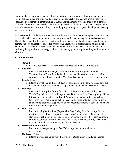Interns will also participate in data collection and program evaluation of our clinical program. Interns are also given the opportunity to provide direct weekly clinical and administrative peer supervision for therapy externs training at Khalil Center. Interns typically engage in at least 15- 20 hours of direct service weekly. The remaining weekly clinical hours are spent in supervision, research, assessment administration, community programming or program development, scoring, and report writing.

At the completion of the internship experience, interns will demonstrate competency in domains set forth by APA in the treatment, assessment, group work, case management, and consultation. The ideal at the end of Internship is to attempt to produce through Khalil Center excellence in training the best possible readiness for professional practice as a doctoral level psychologist candidate. Additionally, interns will have an appreciation for and specific competencies in spiritually integrated psychotherapy, cultural competency particularly in working with American Muslims.

#### **KC Intern Benefits**

- **Stipend**
	- o **\$**28,000 per year \*Stipends are not based on clients' ability to pay.
- **Vacation**
	- o Interns are eligible for ten (10) paid vacation days during their Internship. Vacation time off must be scheduled at least one (1) month in advance and be approved by the Clinical Director. Vacation days may also be used one at a time.
- **Family Leave**
	- $\circ$  Interns may take up to three (3) days off for a death in the family. These days are not deducted from vacation days. Adjustments are made on a case-by-case basis.
- **Holidays**
	- o Interns will be eligible for the following holidays during their training: New Year's Day, Memorial Day, Independence Day, Labor Day, Thanksgiving, Eid al-Fitr (day of and day after) and Eid al-Adha (day of and day after), as well as Christmas Day. Due to patients being especially vulnerable during the holidays and needing additional support, we do not encourage Interns to schedule extended time off during these periods.
- **Sick Time**
	- o Interns are eligible for three (3) paid sick days during their Internship. Interns must notify the Clinical Director at least two (2) hours prior to their scheduled start time if calling in sick or unable to report to the site for other reasons. Should an illness continue for more than one (1) day, the Intern must notify the Clinical Director on each consecutive day of his/her absence.
- **Dissertation Work Time**
	- o Interns may incorporate up to five (5) hours per week to work on their dissertations.
- **Conference Time**
	- $\circ$  Interns may request up to two (2) days off to attend a non-IPAPIC sponsored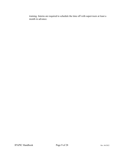training. Interns are required to schedule the time off with supervisors at least a month in advance.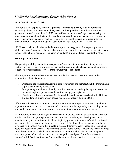# *LifeWorks Psychotherapy Center (LifeWorks)*

#### *APPIC Match Number*: 215814

LifeWorks is an "explicitly inclusive" practice -- embracing diversity in all its forms and welcoming clients of all ages, ethnicities, races, spiritual practices and religious traditions, genders and sexual orientations. LifeWorks staff have many years of experience working with transitions, issues and conflicts related to relationships and identities that are marginalized or largely unsupported by society such as lesbian, gay, bisexual, transgender, queer, intersex, asexual, kink/BDSM, non-monogamy, open relationships, polyamory, sex work, etc.

LifeWorks provides individual and relationship psychotherapy as well as support groups for adults. We have 3 locations: Skokie, Lakeview and the Central Loop. Interns are expected to do some of their clinical hours, most supervision, and all training modules in the Skokie office.

#### **Training at LifeWorks**

The growing visibility and cultural acceptance of non-mainstream identities, lifestyles and relationships has given rise to increased demand for psychologists who can respond competently to requests for professional services from culturally specific clients.

This program focuses on three elements we consider important to meet the needs of the communities of clients we serve:

- 1. Deepening the clinical interviewing, case formulation and therapeutic skills from within a depth psychotherapy perspective,
- 2. Strengthening each intern's identity as a therapist and expanding the capacity to use their unique strengths, experiences and identities as a psychologist, and
- 3. Developing cultural competence (attitudes, skills and knowledge) related to LGB, trans and gender non-binary, queer, consensual non-monogamy & kink/BDSM.

LifeWorks will accept 1 or 2 doctoral intern students who have a passion for working with the populations we serve and a keen interest and commitment to incorporating or deepening the use of a depth approach to psychotherapy and developing their identities as professionals.

At LifeWorks, Interns not only gain experience with a diverse array of presenting concerns but are also involved in a group private practice committed to training and development in an interdisciplinary team environment. Clients typically present with a range of social, emotional and relationship issues ranging from acute to chronic difficulties. Some clients may not have insurance, while others may utilize private insurance. Interns typically engage in at least 20-25 hours of direct service weekly. The remaining clinical hours during the week are spent obtaining supervision, attending onsite in-service modules, consortium-wide didactics and completing relevant reports and notes in accord with practice policies and procedures. In addition, the Intern(s) at LifeWorks participate(s) in monthly team meetings, a staff process group, case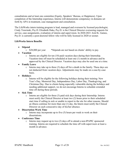consultations and at least one committee (Equity, Speakers' Bureau, or Happiness). Upon completion of the Internship experience, Interns will demonstrate competency in domains set forth by APA in treatment, case management and consultation.

The LifeWorks intern training program is lead, managed and overseen by licensed psychologist, Cindy Trawinski, Psy.D. Elizabeth Duke, Psy.D. is the Clinical Director overseeing requests for service, case assignments, evaluation of interns and supervision. In 2020-2021 Ariel K. Gaines, Psy.D. is currently a post-doctoral fellow who will be fully licensed in 2020 or sooner.

#### **LifeWorks Intern Benefits**

• **Stipend**

o \$28,000 per year \*Stipends are not based on clients' ability to pay.

- **Vacation**
	- o Interns are eligible for ten (10) paid vacation days during their Internship. Vacation time off must be scheduled at least one (1) month in advance and be approved by the Clinical Director. Vacation days may also be used one at a time.
- **Family Leave**
	- $\circ$  Interns may take up to three (3) days off for a death in the family. These days are not deducted from vacation days. Adjustments may be made on a case-by-case basis.
- **Holidays**
	- $\circ$  Interns will be eligible for the following holidays during their training: New Year's Day, Memorial Day, Independence Day, Labor Day, Thanksgiving, and Christmas Day. Due to clients being especially vulnerable during the holidays and needing additional support, we do not encourage Interns to schedule extended time off during these periods.

#### • **Sick Time**

 $\circ$  Interns are eligible for three (3) paid sick days during their Internship. Interns must notify the Clinical Director at least two (2) hours prior to their scheduled start time if calling in sick or unable to report to the site for other reasons. Should an illness continue for more than one (1) day, the Intern must notify the Clinical Director on each consecutive day of his/her absence.

#### • **Dissertation Work Time**

- $\circ$  Interns may incorporate up to five (5) hours per week to work on their dissertations.
- **Conference Time**
	- $\circ$  Interns may request up to two (2) days off to attend a non-IPAPIC sponsored training. Interns are required to schedule the time off with supervisors at least a month in advance.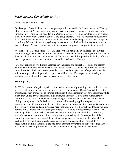# *Psychological Consultations (PC)*

#### *APPIC Match Number:* 215811

Psychological Consultations is a private group practice located in the Lakeview area of Chicago, Illinois. Interns at PC provide psychological services to diverse populations, most especially Lesbian, Gay, Bisexual, Transgender, and Questioning (LGBTQ) clients. Other areas of practice at PC include individual, family, couples, and group therapy, as well as cooperative treatment of HIV/AIDS-impacted persons. Services conducted at PC include therapy, assessment, groups, and consulting. PC also offers neuropsychological assessment and rehabilitation assessment for the state of Illinois. PC is a relational site with an emphasis on process and professional growth.

At Psychological Consultations (PC), Dr. Gregory Sarlo maintains overall responsibility for Intern training experiences. Dr. Sarlo is an active Licensed Clinical Psychologist in Illinois. He is the Clinical Director of PC and oversees all functions of the clinical practice, including referrals, case assignments, assessment, treatment, as well as evaluation of Interns.

PC's staff consists of two Illinois Licensed Psychologists and several assessment and therapy externs. Staff members carry clinical responsibility for the cases being supervised and provide supervision. Drs. Sarlo and Brewer provide at least two hours per week of regularly scheduled individual supervision. Supervision is provided with the specific purpose of addressing and evaluating psychological services rendered directly by the Intern.

#### **Training at PC**

At PC, Interns not only gain experience with a diverse array of presenting concerns but are also involved in learning the nature of running a group private practice. Clients' typical diagnostic presentations vary from acute to chronic difficulties. Some clients may not have insurance, while others may utilize private insurance. In addition, the Intern at PC acts as the Administrative Intern for IPAPIC and is involved with organizing Consortium-wide didactics, authoring and editing training materials for both the externship and Internship application processes, and engaging in other Consortium-related activities. Interns are also given the opportunity to provide direct weekly clinical and administrative peer supervision for 4-7 diagnostic and therapy externs training at PC. Interns typically engage in at least 15-20 hours of direct service weekly. The remaining clinical hours during the week are spent in providing and obtaining supervision, research, assessment administration, scoring, and report writing. At the completion of the Internship experience, Interns will demonstrate competency in domains set forth by APA in treatment, assessment, group work, case management, and consultation. Through PC's excellence in training, the ideal at the end of the Internship year is to attempt to produce the best possible readiness for professional practice as a doctoral level psychologist candidate.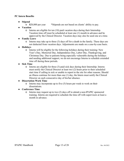#### **PC Intern Benefits**

- **Stipend**
	- o **\$**28,000 per year \*Stipends are not based on clients' ability to pay.
- **Vacation**
	- o Interns are eligible for ten (10) paid vacation days during their Internship. Vacation time off must be scheduled at least one (1) month in advance and be approved by the Clinical Director. Vacation days may also be used one at a time.
- **Family Leave**
	- o Interns may take up to three (3) days off for a death in the family. These days are not deducted from vacation days. Adjustments are made on a case-by-case basis.
- **Holidays**
	- o Interns will be eligible for the following holidays during their training: New Year's Day, Memorial Day, Independence Day, Labor Day, Thanksgiving, and Christmas Day. Due to patients being especially vulnerable during the holidays and needing additional support, we do not encourage Interns to schedule extended time off during these periods.
- **Sick Time**
	- o Interns are eligible for three (3) paid sick days during their Internship. Interns must notify the Clinical Director at least two (2) hours prior to their scheduled start time if calling in sick or unable to report to the site for other reasons. Should an illness continue for more than one (1) day, the Intern must notify the Clinical Director on each consecutive day of his/her absence.
- **Dissertation Work Time**
	- o Interns may incorporate up to five (5) hours per week to work on their dissertations.
- **Conference Time**
	- o Interns may request up to two (2) days off to attend a non-IPAPIC sponsored training. Interns are required to schedule the time off with supervisors at least a month in advance.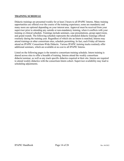#### **TRAINING SCHEDULE**

Didactic trainings are presented weekly for at least 2 hours to all IPAPIC Interns. Many training opportunities are offered over the course of the training experience; some are mandatory and many more are optional depending on your interest area. Approval must be received from your supervisor prior to attending any outside or non-mandatory training, when it conflicts with your training or clinical schedule. Trainings include seminars, case presentations, group supervision, and grand rounds. The following schedule represents the scheduled didactic trainings offered routinely during the training year. Regardless of which site an Intern is matched, Interns may attend trainings at other consortium sites, schedule permitting. In fact, each Friday all Interns attend an IPAPIC Consortium-Wide Didactic. Various IPAPIC training tracks routinely offer additional seminars, which are available at no cost to all IPAPIC Interns.

Listed on the following pages is the tentative consortium training schedule. Intern training is shared across sites to offer a breadth of training. Interns attend the weekly consortium didactic/seminar, as well as any track specific didactics required at their site. Interns are required to attend weekly didactics with the consortium Intern cohort. Supervisor availability may lead to scheduling adjustments.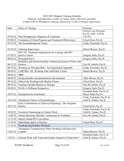#### 2022-2023 Didactic Training Schedule *Didactics will take place weekly via Zoom, unless otherwise specified. Friday 9:00-11:00 didactic training, followed by 11:00-12:00 peer supervision.*

| Date                 | Name of Training                                                                                    | Presenter                                     |
|----------------------|-----------------------------------------------------------------------------------------------------|-----------------------------------------------|
|                      |                                                                                                     | Patricia Ann Pimental,                        |
|                      |                                                                                                     | Psy.D, ABN, AAPM,<br><b>FACPN</b>             |
| 07/01/22<br>07/08/22 | Pain Management: Diagnosis & Treatment<br>Evaluation of Client Progress and Treatment Effectiveness |                                               |
| 07/15/22             | The Psychotherapeutic Frame                                                                         | Fahad Khan, Psy.D.<br>Cindy Trawinski, Psy.D. |
|                      |                                                                                                     |                                               |
| 07/22/22             | <b>Utilizing Supervision</b>                                                                        | Daniel Brewer, Psy.D.                         |
|                      | HIV 101: Treatment implications for working with HIV                                                |                                               |
| 07/29/22             | positive clients                                                                                    | Gregory Sarlo, Psy.D.                         |
| 08/05/22             | Rorschach Part I                                                                                    | Gregory Sarlo, Psy.D.                         |
| 08/12/22             | Disability and Intersectionality: Embracing Inclusive Policy and<br>Practice                        | Erin M Liebich, Psy.D.                        |
| 08/19/22             | Working on Therapist BIas - An Experiential Approach                                                | Cindy Trawinski, Psy.D.                       |
| 08/26/22             | LGBTQIA 101: Working with LGBTQIA Clients                                                           | Daniel Brewer, Psy.D.                         |
| 09/02/22             | <b>TBA</b>                                                                                          |                                               |
| 09/09/22             | Eating disorder conceptualization and treatment                                                     | Abby Brown, Psy.D.                            |
| 09/16/22             | <b>Effectively Working with Muslim Clients</b>                                                      | Fahad Khan, Psy.D.                            |
| 09/23/22             | Treating Suicidal Ideation in Therapy                                                               | Erin M Liebich, Psy.D.                        |
| 09/30/22             | WAIS, A Different Perspective                                                                       | Gregory Sarlo, Psy.D.                         |
|                      |                                                                                                     | Elizabeth Duke, Psy.D. &                      |
| 10/07/22             | Immigration & Attachment                                                                            | Hayat Nadar Psy.D.                            |
|                      |                                                                                                     | Cindy Trawinski, Psy.D. &                     |
| 10/14/22             | Attachment Theory in Psychotherapy                                                                  | Ariel K. Gaines, Psy.D.                       |
| 10/21/22             | Early Contributions of Arabs to Psychology: The Forgotten<br><b>History</b>                         | Fahad Khan, Psy.D.                            |
|                      |                                                                                                     | Cindy Trawinski, Psy.D. &                     |
| 10/28/22             | <b>Executive Functioning in Clinical Work</b>                                                       | Ariel K. Gaines, Psy.D.                       |
| 11/04/22             | Autism Spectrum Disorder: Assessment & Treatment                                                    | Erin M Liebich, Psy.D.                        |
| 11/11/22             | <b>Interns Attend IPA Convention</b>                                                                |                                               |
| 11/18/22             | Mind-Body-Spirit in Practice                                                                        | Fahad Khan, Psy.D.                            |
| 11/25/22             | Thanksgiving Holiday Weekend                                                                        |                                               |
|                      | Therapeutic Considerations When Working with Same-Sex                                               |                                               |
| 12/02/22             | Couples                                                                                             | Daniel Brewer, Psy.D.                         |
|                      |                                                                                                     | Elizabeth Duke, Psy.D. &                      |
| 12/9/22              | Clinical Work with Trans and Gender Expansive Clients Part I                                        | Ariel K. Gaines, Psy.D.                       |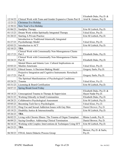|          |                                                                                     | Elizabeth Duke, Psy.D. &                       |  |  |
|----------|-------------------------------------------------------------------------------------|------------------------------------------------|--|--|
| 12/16/22 | Clinical Work with Trans and Gender Expansive Clients Part II                       | Ariel K. Gaines, Psy.D.                        |  |  |
| 12/23/22 | <b>Christmas Eve Holiday</b>                                                        |                                                |  |  |
| 12/30/22 | New Year's Eve Holiday                                                              |                                                |  |  |
| 01/06/23 | Sandplay Therapy                                                                    | Erin M Liebich, Psy.D.                         |  |  |
| 01/13/23 | Dream Work within Spiritually Integrated Therapy                                    | Fahad Khan, Psy.D.                             |  |  |
| 01/20/23 | <b>Starting A Private Practice</b>                                                  | Erin M Liebich, Psy.D.                         |  |  |
| 01/27/23 | Introduction to Traditional Islamically Integrated<br>Psychotherapy Model           | Fahad Khan, Psy.D.                             |  |  |
| 02/03/23 | Introduction to ACT                                                                 | Erin M Liebich, Psy.D.                         |  |  |
| 02/10/23 | <b>TBA</b>                                                                          |                                                |  |  |
| 02/17/23 | Clinical Work with Consensually Non-Monogamous Clients<br>Part I                    | Elizabeth Duke, Psy.D.                         |  |  |
| 02/24/23 | Clinical Work with Consensually Non-Monogamous Clients<br>Part II                   | Elizabeth Duke, Psy.D.                         |  |  |
| 03/03/23 | Mental Illness and Islamic Law: Cultural Implications on<br><b>Muslim Americans</b> | Fahad Khan, Psy.D.                             |  |  |
| 03/10/23 | Ethical Issues: A Decision-Making Model                                             | Gregory Sarlo, Psy.D.                          |  |  |
| 03/17/23 | Projective Integration and Cognitive Instruments: Rorschach<br>Part II              | Gregory Sarlo, Psy.D.                          |  |  |
|          | The Spiritual Manifestations of Psychological Conditions:                           |                                                |  |  |
| 03/24/23 | Trauma                                                                              | Fahad Khan, Psy.D.                             |  |  |
| 03/31/23 | Licensing & Board Certification                                                     | Erin M Liebich, Psy.D.                         |  |  |
| 04/07/23 | Spring Break/Good Friday                                                            |                                                |  |  |
| 04/14/23 | Unrecognized Trauma in Therapy & Supervision                                        | Elizabeth Duke, Psy.D. &<br>Hayat Nadar Psy.D. |  |  |
| 04/21/23 | Working Ethically in Small Communities                                              | Elizabeth Duke, Psy.D.                         |  |  |
| 04/28/23 | Collaborative Psychological Assessment                                              | Erin M Liebich, Psy.D.                         |  |  |
| 05/05/23 | Becoming Tech Savvy Psychologists                                                   | Fahad Khan, Psy.D.                             |  |  |
| 05/12/23 | Drug Use and Sexual Addiction Issues with Gay Men                                   | Daniel Brewer, Psy.D.                          |  |  |
| 05/19/23 | Disability Justice $&$ Intersectionality                                            | Erin M Liebich, Psy.D.                         |  |  |
| 05/26/23 | <b>TBA</b>                                                                          |                                                |  |  |
| 06/02/23 | Living with Chronic Illness: The Trauma of Organ Transplant                         | Blaine Lesnik, Psy.D.                          |  |  |
| 06/09/23 | Saying Goodbye: Addressing Clinical Termination                                     | Daniel Brewer, Psy.D.                          |  |  |
| 06/16/23 | Working with Couples: Interventions & Techniques Using EFT                          | Erin M Liebich, Psy.D.                         |  |  |
| 06/23/23 | <b>TBA</b>                                                                          |                                                |  |  |
| 06/30/23 | FINAL Intern Didactic Process Group                                                 | Brewer, Psy.D. & Sarlo,<br>Psy.D.              |  |  |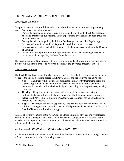#### **DISCIPLINARY AND GRIEVANCE PROCEDURES**

#### *Due Process Guidelines*

Due process ensures that disciplinary decisions about Interns are not arbitrary or personally based. Due process guidelines include:

- 1. During the orientation period, Interns are presented in writing the IPAPIC expectations related to professional functioning. These expectations are discussed in both group and individual settings.
- 2. During the orientation period, the Illinois Psychological Association Psychology Internship Consortium Handbook is provided to all Interns and reviewed.
- 3. Interns meet at regularly scheduled intervals with their supervisor and with the Director of Training.
- 4. IPAPIC will use input from multiple professional sources when making decisions or recommendations regarding the Intern's performance.

The basic meaning of Due Process is to inform and to provide a framework to respond, act, or dispute. When a matter cannot be resolved informally, the grievance procedure is used.

#### *Due Process in Action*

The IPAPIC Due Process in all tracks (training sites) involves the three key elements including: Notice to the Intern, a Hearing before the IPAPIC Board, and the ability to file an Appeal.

- **Notice** The Intern will be notified of problematic behavior by their membership site supervisor; problematic behavior will be clearly identified to the Intern; and the membership site will indicate both verbally and in writing how the problem(s) is being addressed.
- **Hearing** The primary site supervisor will meet with the Intern and review the problematic behavior both verbally and in writing. The Intern may request a hearing before the IPAPIC Clinical Training Director, where the Intern has an opportunity to respond to the concerns.
- **Appeal** The Intern also has an opportunity to appeal the actions taken by the IPAPIC Clinical Training Director regarding the identified problematic behavior. The full IPAPIC Board of Directors will review the appeal.

In cases of severe violations of the APA Code of Ethics, imminent physical or psychological harm to a client is a major factor, or the Intern is unable to complete the full required training experience due to physical, mental or emotional illness, either administrative leave or dismissal will be invoked immediately.

#### *See Appendix A—RECORD OF PROBLEMATIC BEHAVIOR*

Problematic Behavior is defined broadly as an interference in professional functioning, which is reflected in one or more of the following ways: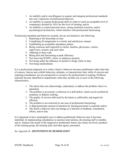- 1. An inability and/or unwillingness to acquire and integrate professional standards into one's repertoire of professional behavior;
- 2. An inability to acquire professional skills in order to reach an acceptable level of competency dictated by APA for this level of training; and/or
- 3. An inability to control personal stress, strong emotional reactions, and/or psychological dysfunction, which interfere with professional functioning.

Professional standards and behaviors include, but are not limited to, the following:

- 1. Reporting to the Internship on time
- 2. Completing all assignments in a timely and satisfactory manner
- 3. Establishing an acceptable attendance pattern
- 4. Being courteous and respectful to clients, families, physicians, visitors, supervisors, externs, and each other
- 5. Adhering to dress code
- 6. Being alert and functioning at peak efficiency
- 7. Not removing IPAPIC, client, or employee property
- 8. Not being under the influence of alcohol or drugs while on duty
- 9. Not being insubordinate

It is a professional judgment as to when a Intern's behavior becomes problematic rather than that of concern. Interns may exhibit behaviors, attitudes, or characteristics that, while of concern and requiring remediation, are not unexpected or excessive for professionals in training. Problems typically become identified as impairments when they include one or more of the following characteristics:

- 1. The Intern does not acknowledge, understand, or address the problem when it is identified;
- 2. The problem is not merely a reflection of a skill deficit, which can be rectified by academic or didactic training;
- 3. The quality of services delivered by the Intern is sufficiently and negatively affected;
- 4. The problem is not restricted to one area of professional functioning;
- 5. A disproportionate amount of attention by training personnel is required; and/or
- 6. The Intern's behavior does not change as a function of feedback, remediation efforts, and/or time.

It is important to have meaningful ways to address problematic behavior once it has been identified. In implementing remediation or sanction interventions, the training staff is mindful, and so, balances the needs of the impaired or problematic Intern, the clients involved, members of the training group, the training staff, and other agency personnel.

#### *See Appendix B—DEFINITIONS OF REMEDIATION*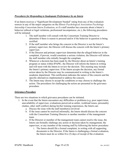#### *Procedures for Responding to Inadequate Performance by an Intern*

If an Intern receives a "Significant Development Needed" rating from any of the evaluation sources in any of the major categories on the *Illinois Psychological Association Psychology Internship Consortium Intern Evaluation*, or if a staff member has concerns about a Intern's behavior (ethical or legal violations, professional incompetence, etc.), the following procedures will be initiated:

- 1. The staff member will consult with the Consortium Training Director to determine if there is reason to proceed and/or if the behavior in question is being rectified.
- 2. If the staff member who brings the concern to the Director is not the Intern's primary supervisor, the Director will discuss the concern with the Intern's primary supervisor.
- 3. If the Director and primary supervisor determine that the alleged behavior in the complaint, if proven, would constitute a serious violation, the Director will inform the staff member who initially brought the compliant.
- 4. Whenever a decision has been made by the Director about an Intern's training program or status within IPAPIC, the Director will inform the Intern in writing and will meet with the Intern to review the decision. This meeting may include the Intern's primary supervisor. If the Intern accepts the decision, any formal action taken by the Director may be communicated in writing to the Intern's academic department. This notification indicates the nature of the concern and the specific alternatives implemented to address the concern.
- 5. The Intern may choose to accept the conditions or may choose to challenge the action. The procedures for challenging the action are presented in the grievance procedure.

#### *Grievance Procedure*

There are two situations in which grievance procedures can be initiated.

- 1. In the event that the Intern encounters any difficulties or problems (e.g. poor supervision, unavailability of supervisor, evaluations perceived as unfair, workload issues, personality clashes, other staff conflict) during his/her training experiences, the Intern can:
	- a. Discuss the issue with the staff member(s) involved
	- b. If the issue cannot be resolved informally, the Intern should discuss the concern with the Consortium Training Director or another member of the management team.
	- c. If the Director or member of the management team cannot resolve the issue, the Intern can formally challenge any action or decision taken by management, the supervisor, or any member of the training staff by following the below procedure:
		- i. The Intern should file a formal complaint, in writing with all supporting documents to the Director. If the Intern is challenging a formal evaluation, the Intern must do so within five (5) days of receipt of the evaluation.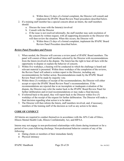- ii. Within three (3) days of a formal complaint, the Director will consult and implement the IPAPIC Board Review Panel procedures described below.
- 2. If a training staff member has a special concern about an Intern, the staff members should:
	- a. Discuss the issue with the Intern(s) involved
	- b. Consult with the Director
	- c. If the issue is not resolved informally, the staff member may seek resolution of the concern by written request, with all supporting documents to the Director who will then review the situation. When this occurs, the Director will:
		- i. Within three (3) days of a formal complaint, implement the IPAPIC Board Review Panel Procedure described below.

#### *Review Panel Procedure and Process*

- 1. When needed, the Director will convene a review panel of IPAPIC Board members. The panel will consist of three staff members selected by the Director with recommendations from the Intern involved in the dispute. The Intern has the right to hear all facts with the opportunity to dispute or explain the behavior of concern.
- 2. Within five workdays, a hearing will be conducted in which the challenge is heard and relevant material is presented. Within three workdays of the completion of the reviews, the Review Panel will submit a written report to the Director, including any recommendations for further action. Recommendations made by the IPAPIC Board Review Panel will be made by majority vote.
- 3. Within three (3) workdays of receipt of the recommendations, the Director will either accept or reject the IPAPIC Board Review Panel's recommendations. If the recommendations are rejected due to an incomplete or inadequate evaluation of the dispute, the Director may refer the matter back to the IPAPIC Board Review Panel for further deliberation and revised recommendations or may make a final decision.
- 4. If referred back to the panel, they will report back to the Director within five (5) workdays of the receipt of the request for further deliberation. The Director will make a final decision regarding what action is to be taken.
- 5. The Director will then inform the Intern, staff members involved, and, if necessary, members of the training staff of the decision as well as any action to be taken.

### **CODE OF CONDUCT**

All Interns are required to conduct themselves in accordance with the APA Code of Ethics, Illinois Mental Health Code, Illinois Confidentiality Act, and HIPAA.

Interns may not engage in non-professional relationships with clients during treatment or for a period of two years following discharge. Non-professional behavior consists of any of the following:

- o Dating clients or members of their immediate family
- o Physical intimacy

IPAPIC Handbook Page 20 of 28 Rev. 06/2022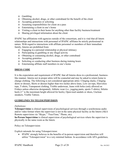- o Gambling
- o Obtaining alcohol, drugs, or other contraband for the benefit of the client
- o Accepting gratuities or soliciting
- o Assuming responsibilities for client on a pass
- o Entertaining a client in one's home
- o Visiting a client in their home for anything other than facility business/treatment
- o Sharing privileged information about the client

IPAPIC has affiliations with agencies outside of the consortium, and it is vital that all Intern relationships and interactions with personnel of IPAPIC affiliates be strictly professional in nature. With regard to interactions with affiliate personnel or members of their immediate family, Interns are prohibited from:

- o Engaging in a personal relationship or physical intimacy
- o Participating in gambling or any illegal activity
- o Obtaining or consuming alcohol, drugs, or other contraband
- o Accepting gratuities
- o Soliciting or conducting other business during training hours
- o Entertaining affiliate staff members in one's home

#### **DRESS CODE**

It is the expectation and requirement of IPAPIC that all Interns dress in a professional, businesslike manner. Interns not in proper attire will be counseled and may be asked to return home to change clothing. The following is not considered appropriate attire: Clinging slacks, Clinging skirts or dresses, Skirts or dresses higher than two inches above knee, Low cut tops, Sleeveless tops, T-shirts, Transparent clothing, Visible underwear, Jeans with holes (only allowed on Fridays unless otherwise designated), Athletic wear (i.e., jogging pants, sports T-shirts), Stiletto heels (1" is the maximum height allowed for heels), Open-toed sandals or shoes, Unclean sneakers, Visible Tattoos.

#### **GUIDELINES TO TELESUPERVISION**

#### *Definitions:*

**Telesupervision** is clinical supervision of psychological services through a synchronous audio and/or video format where the supervisor is not in the same physical facility as the Intern (AKA Remote supervision via "Skype," "FaceTime," Phone, etc).

**In-Person Supervision** is clinical supervision of psychological services where the supervisor is physically in the same room as the Intern.

Policy on Telesupervision:

Explicit rationale for using Telesupervision:

• IPAPIC strongly believes in the benefits of in-person supervision and therefore will utilize "Telesupervision" in a very minimal fashion. In accordance with APA guidelines,

IPAPIC Handbook Page 21 of 28 Rev. 06/2022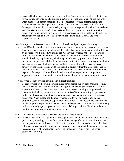because IPAPIC may – on rare occasion – utilize Telesupervision, we have adopted this formal policy designed to address its utilization. Telesupervision will be utilized only when plans for in-person supervision are not possible or would present significant challenges to either the supervisor or Intern (such as when a supervisor is off-site) or if Telesupervision would prevent missing a single weekly in-person individual supervision. We also wish to distinguish Telesupervision from routine phone consultation with supervisors, which should be ongoing. By Telesupervision, we are referring to utilizing remote supervision in place of an in-person, scheduled, clinical hour, and formal supervision period.

How Telesupervision is consistent with the overall model and philosophy of training:

• IPAPIC is dedicated to providing superior quality and quantity supervision to all Interns. Two hours per week of regularly scheduled individual supervision is provided to Interns by doctoral-level Licensed Psychologists. Weekly supervisions are centered on their provision of clinical and administrative services. In addition, Interns are required to attend all training requirements, which may include weekly group supervisions, staff meetings, and professional development seminars/didactics. Supervision is provided with the specific purpose of addressing and evaluating psychological services rendered directly by the Intern. Interns will be expected to diversify their training experience by working with every supervisor in accordance with the supervisor's area of professional expertise. Telesupervision will be utilized as a minimal supplement to in-person supervision in order to maintain communication and supervision continuity with Interns.

How and when Telesupervision is utilized in clinical training:

• Telesupervision will be utilized when plans for in-person supervision are not possible, when in-person supervision would present significant challenges/hardship to either the supervisor or Intern, when Telesupervision would prevent missing a single weekly inperson individual supervision, when a supervisor is off-site or traveling for personal or professional reasons, or in other limited incidences deemed appropriate by a licensed supervisor. When scheduling Telesupervision, efforts will be made to utilize the originally scheduled in-person supervision time. When it is not possible to maintain the regular in-person supervision schedule, Intern and supervisor should work collaboratively to find a mutually agreed upon alternative time. Telesupervision will maintain the same duration and structure as in-person supervisions.

How it is determined which Interns can participate in Telesupervision:

• In accordance with APA guidelines, Telesupervision may not account for more than 50% (and should, in reality, account for a minimal percentage of overall supervision) of the total supervision and will not be utilized until it has been determined the Intern has had sufficient experience with in-person supervision in intervention at the doctoral level and possesses a level of competence to justify this modality of supervision in his/her sequence of training.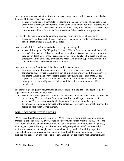How the program ensures that relationships between supervisors and Interns are established at the onset of the supervisory experience:

• Telesupervision is not a substitute for regular in-person supervision, particularly at the onset of the supervisory relationship. Every effort will be made for initial supervisions to take place in person. Telesupervision will be utilized only after the licensed supervisor, in consultations with the Intern, has determined that Telesupervision is appropriate.

How an off-site supervisor maintains full professional responsibility for clinical cases:

• The supervising Licensed Clinical Psychologist maintains full professional responsibility for all clinical duties at IPAPIC at all times.

How non-scheduled consultation and crisis coverage are managed:

• As stated throughout IPAPIC policy, Licensed Clinical Supervisors are available to all Interns 24 hours a day, 7 days per week via phone for crisis coverage. Interns are aware they can contact their primary licensed supervisor immediately in the event of a clinical emergency. In the event they are unable to reach their primary supervisor, they should contact the other licensed supervisors at IPAPIC.

How privacy and confidentiality of the client and Interns are assured:

• Telesupervision will be conducted when both parties have access to a private and confidential space where interruptions can be minimized or prevented. Both supervisor and Intern should make every effort to ensure the physical space is appropriate for supervision. Further, efforts will be made to utilize communication modalities where privacy can be reasonably assured (wired, cellular, voice over internet, or video modalities).

The technology and quality requirements and any education in the use of this technology that is required by either Intern or supervisor:

• Face-to-face Telesupervision through a synchronous audio and video format is preferred to voice only Telesupervision. Supervisors and Interns will agree in advance of a scheduled Telesupervision on the ideal method of communication for a given circumstance. Training, in advance of the scheduled Telesupervision, will be provided in person to both supervisor and Intern.

### **EQUAL OPPORTUNITY EMPLOYER**

IPAPIC is an Equal Opportunity Employer. IPAPIC supports recruitment selection, training, promotion, benefits, transfer, layoff, return to employment, tuition reimbursement, social and recreational programs, and compensation to all qualified persons without regard to age, race, ethnicity, sex, gender identity, sexual orientation, religion/spiritual beliefs, national origin, ability, socioeconomic status, physical or mental handicap unrelated to ability to perform required job duties with reasonable accommodation. IPAPIC employs individuals who are qualified and capable by experience and/or education to care for clients with a mental illness.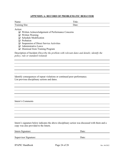#### **APPENDIX A: RECORD OF PROBLEMATIC BEHAVIOR**

| Name:                                                                                                                                                                                                                                                            | Title:                                                                                         |
|------------------------------------------------------------------------------------------------------------------------------------------------------------------------------------------------------------------------------------------------------------------|------------------------------------------------------------------------------------------------|
| Training Site:                                                                                                                                                                                                                                                   | Date:                                                                                          |
| Action:<br>$\Box$ Written Acknowledgement of Performance Concerns<br>Written Warning<br>⊔<br><b>Schedule Modification</b><br>ப<br>Probation<br>ப<br>Suspension of Direct Service Activities<br>❏<br>Administrative Leave<br>Dismissal from Training Program<br>⊔ |                                                                                                |
| policy, rule or standard violated)                                                                                                                                                                                                                               | Description of Incident (Describe the problem with relevant dates and details; identify the    |
|                                                                                                                                                                                                                                                                  |                                                                                                |
|                                                                                                                                                                                                                                                                  |                                                                                                |
|                                                                                                                                                                                                                                                                  |                                                                                                |
| Identify consequences of repeat violations or continued poor performance.<br>List previous disciplinary actions and dates.                                                                                                                                       |                                                                                                |
|                                                                                                                                                                                                                                                                  |                                                                                                |
|                                                                                                                                                                                                                                                                  |                                                                                                |
|                                                                                                                                                                                                                                                                  |                                                                                                |
|                                                                                                                                                                                                                                                                  |                                                                                                |
| Intern's Comments                                                                                                                                                                                                                                                |                                                                                                |
|                                                                                                                                                                                                                                                                  |                                                                                                |
|                                                                                                                                                                                                                                                                  |                                                                                                |
|                                                                                                                                                                                                                                                                  |                                                                                                |
|                                                                                                                                                                                                                                                                  |                                                                                                |
| copy was also provided to the Intern.                                                                                                                                                                                                                            | Intern's signature below indicates the above disciplinary action was discussed with them and a |
| Intern Signature:                                                                                                                                                                                                                                                | Date:                                                                                          |
|                                                                                                                                                                                                                                                                  |                                                                                                |
| Supervisor Signature:                                                                                                                                                                                                                                            | Date:                                                                                          |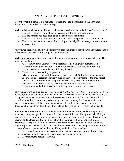#### **APPENDIX B: DEFINITIONS OF REMEDIATION**

**Verbal Warning:** emphasizes the need to discontinue the inappropriate behavior under discussion. No record of this action is kept.

**Written Acknowledgement:** formally acknowledges (all may be in the form of email records):

- 1. That the Director is aware of and concerned with the performance rating;
- 2. That the concern has been brought to the attention of the Intern;
- 3. That the Director will work with the Intern to rectify the problem or skill deficits; and
- 4. That the behaviors associated with the rating are not significant enough to warrant more serious action.

Any written acknowledgment will be removed from the Intern's file when the Intern responds to the concerns and successfully completes the Internship.

**Written Warnings**: indicate the need to discontinue an inappropriate action or behavior. This letter will contain:

- 1. A description of the unsatisfactory performance, including what domains are not successfully being met according to APA competencies for this level of training;
- 2. Actions needed to correct the unsatisfactory behavior;
- 3. The timeline for correcting the problem;
- 4. What action will be taken if the problem is not corrected; **Note:** this action depending upon the level of egregious severity, such as a severe liability issue to the site, ethical concerns, and/or professional comportment issues may result in termination if the behaviors are not remediated by the designated timeline presented: and
- 5. Notification that the Intern has the right to request a review of this action.

This written warning must contain the components of the *Record of Problematic Behavior Form*; however, it may be contained into one document if more than one Problematic Behavior exists. A copy of the above documentation will be retained in the Intern's file. The Director, in consultation with the Intern's supervisor, may consider removing this documentation at the successful completion of the training experience. If the letter is to remain in the file, documentation should contain the position statements of the parties involved in the dispute.

**Schedule Modification**: a time-limited, remediation-oriented, closely-supervised period of intensive training designed to return the Intern to a more fully functioning state. Modifying a schedule is an accommodation made to assist the Intern in responding to personal reactions to environmental stress with the full expectation that the Intern will complete the training experience. This period will include more closely scrutinized supervision conducted by the regular supervisor in consultation with the Director. Several possible and perhaps concurrent courses of action may be included in modifying a schedule. These include:

- 1. Increasing the amount of supervision, either with the same or additional supervisors;
- 2. Changes in the format, emphasis, and/or focus of supervision;
- 3. Recommending personal therapy;

IPAPIC Handbook Page 25 of 28 Rev. 06/2022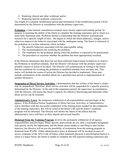- 4. Reducing clinical and other workload; and/or
- 5. Requiring specific academic coursework.

The length of a schedule modification period and termination of the modification period will be determined by the Director in consultation with the primary supervisor.

**Probation**: a time-limited, remediation-oriented, more closely supervised training period. Its purpose is assessing the ability of the Intern to complete the training experience and to return to a more fully functional state. Probation defines a relationship that the Director systematically monitors for a specific length of time—the degree to which the Intern addresses, changes, and/or otherwise improves the behavior associated with the inadequate rating. The Intern is informed of the probation in a written statement, which includes:

- 1. The specific behaviors associated with the unacceptable rating;
- 2. The recommendations for rectifying the problem;
- 3. The timeframe for the probation during which the problem is expected to be ameliorated;
- 4. The procedures to ascertain whether the problem has been appropriately rectified.

If the Director determines that there has not been sufficient improvement in behavior to remove the Probation or modified schedule, then the Director will discuss with the primary supervisor possible courses of action to be taken. The Director will communicate in writing to the Intern that the conditions for revoking the probation or modified schedule have not been met. This notice will include the course of action the Director has decided to implement. These may include continuation of the remedial efforts for a specified time period or implementation of another alternative.

**Suspension of Direct Service Activities:** a determination that the welfare of the Intern's clients may be jeopardized. Therefore, direct service activities will be suspended for a specific period as determined by the Director. At the end of the suspension period, the supervisor, in consultation with the Director, will assess the Intern's capacity for effective functioning and determine when direct service can be resumed.

**Administrative Leave**: the temporary withdrawal of all responsibilities and privileges in the agency. If the Probation Period, Suspension of Direct Services Activities, or Administrative Leave interferes with the successful completion of the training hours needed for the completion of the training experience, this will be noted in the Intern's file and the Intern's academic program will be informed. The Director will inform the Intern of the effects that the administrative leave will have on their stipend and accrual benefits.

**Dismissal from the Training Program** involves the permanent withdrawal of all agency responsibilities and privileges. When specific interventions do not, after a reasonable designated time period, rectify the impairment, and the Intern seems unable or unwilling to alter his/her behavior, the Director will review the possibility of termination from the training program or dismissal from IPAPIC. Either administrative leave or dismissal will be invoked in cases of severe violations of the APA Code of Ethics, when imminent physical or psychological harm to a client is a major factor, the Intern is unable to complete the full required training experience due

IPAPIC Handbook Page 26 of 28 Rev. 06/2022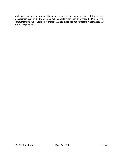to physical, mental or emotional illness, or the Intern presents a significant liability or risk management issue to the training site. When an Intern has been dismissed, the Director will communicate to the academic department that the Intern has not successfully completed the training experience.